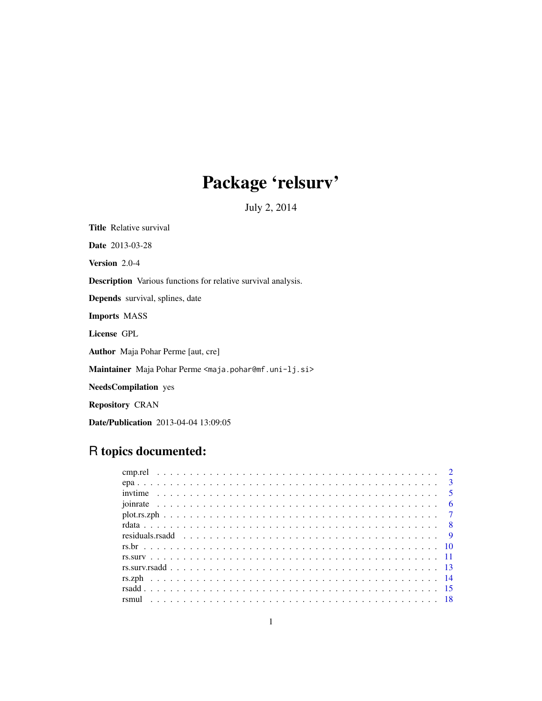# Package 'relsurv'

July 2, 2014

<span id="page-0-0"></span>Title Relative survival Date 2013-03-28

Version 2.0-4

Description Various functions for relative survival analysis.

Depends survival, splines, date

Imports MASS

License GPL

Author Maja Pohar Perme [aut, cre]

Maintainer Maja Pohar Perme <maja.pohar@mf.uni-lj.si>

NeedsCompilation yes

Repository CRAN

Date/Publication 2013-04-04 13:09:05

# R topics documented: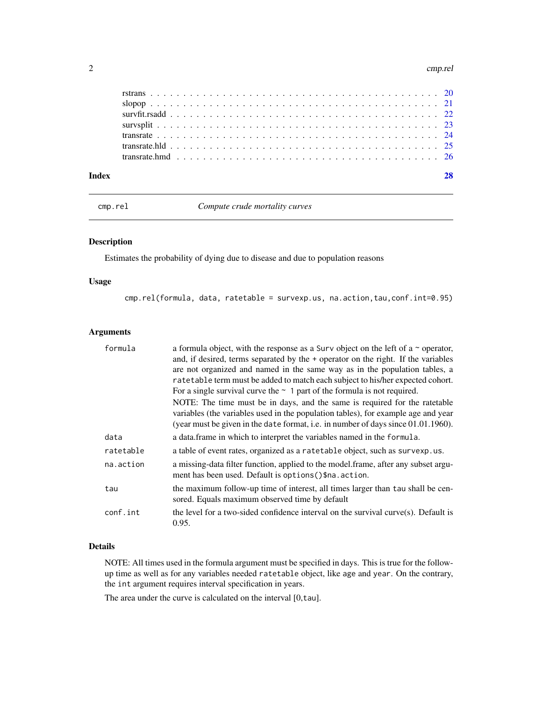#### <span id="page-1-0"></span>2 cmp.rel

| Indev |                                                                                                                                                                      |  |  |  |  |  |  |  |  |  |  |  |  |  |  |  |  |  |  |  |
|-------|----------------------------------------------------------------------------------------------------------------------------------------------------------------------|--|--|--|--|--|--|--|--|--|--|--|--|--|--|--|--|--|--|--|
|       | transrate.hmd $\ldots$ $\ldots$ $\ldots$ $\ldots$ $\ldots$ $\ldots$ $\ldots$ $\ldots$ $\ldots$ $\ldots$ $\ldots$ $\ldots$ $\ldots$ $\ldots$ $\ldots$ $\frac{26}{26}$ |  |  |  |  |  |  |  |  |  |  |  |  |  |  |  |  |  |  |  |
|       |                                                                                                                                                                      |  |  |  |  |  |  |  |  |  |  |  |  |  |  |  |  |  |  |  |
|       |                                                                                                                                                                      |  |  |  |  |  |  |  |  |  |  |  |  |  |  |  |  |  |  |  |
|       |                                                                                                                                                                      |  |  |  |  |  |  |  |  |  |  |  |  |  |  |  |  |  |  |  |
|       |                                                                                                                                                                      |  |  |  |  |  |  |  |  |  |  |  |  |  |  |  |  |  |  |  |
|       |                                                                                                                                                                      |  |  |  |  |  |  |  |  |  |  |  |  |  |  |  |  |  |  |  |
|       |                                                                                                                                                                      |  |  |  |  |  |  |  |  |  |  |  |  |  |  |  |  |  |  |  |

cmp.rel *Compute crude mortality curves*

# Description

Estimates the probability of dying due to disease and due to population reasons

# Usage

cmp.rel(formula, data, ratetable = survexp.us, na.action,tau,conf.int=0.95)

#### Arguments

| formula   | a formula object, with the response as a Surv object on the left of a $\sim$ operator,<br>and, if desired, terms separated by the + operator on the right. If the variables<br>are not organized and named in the same way as in the population tables, a<br>ratetable term must be added to match each subject to his/her expected cohort.<br>For a single survival curve the $\sim$ 1 part of the formula is not required.<br>NOTE: The time must be in days, and the same is required for the ratetable<br>variables (the variables used in the population tables), for example age and year<br>(year must be given in the date format, i.e. in number of days since 01.01.1960). |
|-----------|--------------------------------------------------------------------------------------------------------------------------------------------------------------------------------------------------------------------------------------------------------------------------------------------------------------------------------------------------------------------------------------------------------------------------------------------------------------------------------------------------------------------------------------------------------------------------------------------------------------------------------------------------------------------------------------|
| data      | a data frame in which to interpret the variables named in the formula.                                                                                                                                                                                                                                                                                                                                                                                                                                                                                                                                                                                                               |
| ratetable | a table of event rates, organized as a ratetable object, such as survexp.us.                                                                                                                                                                                                                                                                                                                                                                                                                                                                                                                                                                                                         |
| na.action | a missing-data filter function, applied to the model.frame, after any subset argu-<br>ment has been used. Default is options () \$na. action.                                                                                                                                                                                                                                                                                                                                                                                                                                                                                                                                        |
| tau       | the maximum follow-up time of interest, all times larger than tau shall be cen-<br>sored. Equals maximum observed time by default                                                                                                                                                                                                                                                                                                                                                                                                                                                                                                                                                    |
| conf.int  | the level for a two-sided confidence interval on the survival curve $(s)$ . Default is<br>0.95.                                                                                                                                                                                                                                                                                                                                                                                                                                                                                                                                                                                      |

# Details

NOTE: All times used in the formula argument must be specified in days. This is true for the followup time as well as for any variables needed ratetable object, like age and year. On the contrary, the int argument requires interval specification in years.

The area under the curve is calculated on the interval [0,tau].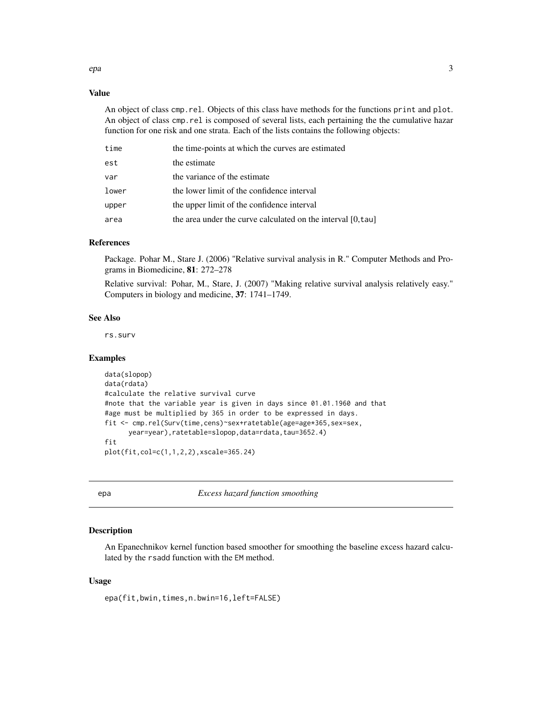#### <span id="page-2-0"></span>Value

An object of class cmp.rel. Objects of this class have methods for the functions print and plot. An object of class cmp.rel is composed of several lists, each pertaining the the cumulative hazar function for one risk and one strata. Each of the lists contains the following objects:

| time  | the time-points at which the curves are estimated           |
|-------|-------------------------------------------------------------|
| est   | the estimate                                                |
| var   | the variance of the estimate                                |
| lower | the lower limit of the confidence interval                  |
| upper | the upper limit of the confidence interval                  |
| area  | the area under the curve calculated on the interval [0,tau] |

#### References

Package. Pohar M., Stare J. (2006) "Relative survival analysis in R." Computer Methods and Programs in Biomedicine, 81: 272–278

Relative survival: Pohar, M., Stare, J. (2007) "Making relative survival analysis relatively easy." Computers in biology and medicine, 37: 1741–1749.

#### See Also

rs.surv

#### Examples

```
data(slopop)
data(rdata)
#calculate the relative survival curve
#note that the variable year is given in days since 01.01.1960 and that
#age must be multiplied by 365 in order to be expressed in days.
fit <- cmp.rel(Surv(time,cens)~sex+ratetable(age=age*365,sex=sex,
     year=year),ratetable=slopop,data=rdata,tau=3652.4)
fit
plot(fit,col=c(1,1,2,2),xscale=365.24)
```
epa *Excess hazard function smoothing*

#### Description

An Epanechnikov kernel function based smoother for smoothing the baseline excess hazard calculated by the rsadd function with the EM method.

#### Usage

epa(fit,bwin,times,n.bwin=16,left=FALSE)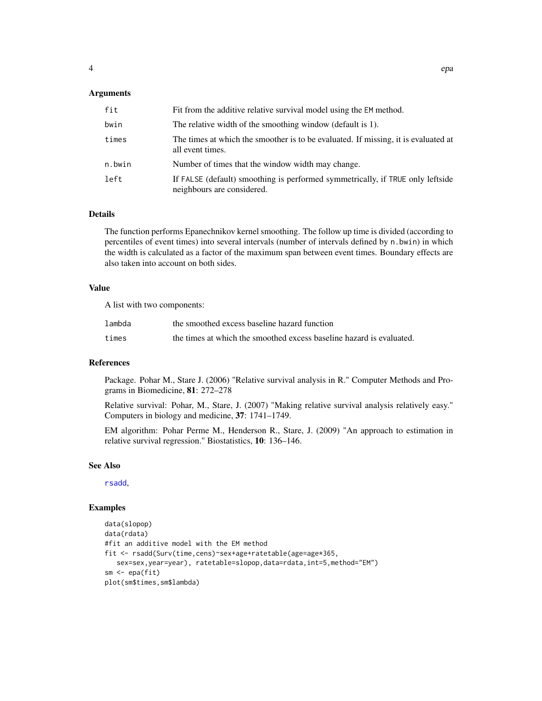#### <span id="page-3-0"></span>**Arguments**

| fit    | Fit from the additive relative survival model using the EM method.                                           |
|--------|--------------------------------------------------------------------------------------------------------------|
| bwin   | The relative width of the smoothing window (default is 1).                                                   |
| times  | The times at which the smoother is to be evaluated. If missing, it is evaluated at<br>all event times.       |
| n.bwin | Number of times that the window width may change.                                                            |
| left   | If FALSE (default) smoothing is performed symmetrically, if TRUE only leftside<br>neighbours are considered. |

# Details

The function performs Epanechnikov kernel smoothing. The follow up time is divided (according to percentiles of event times) into several intervals (number of intervals defined by n.bwin) in which the width is calculated as a factor of the maximum span between event times. Boundary effects are also taken into account on both sides.

# Value

A list with two components:

| lambda | the smoothed excess baseline hazard function                         |
|--------|----------------------------------------------------------------------|
| times  | the times at which the smoothed excess baseline hazard is evaluated. |

# **References**

Package. Pohar M., Stare J. (2006) "Relative survival analysis in R." Computer Methods and Programs in Biomedicine, 81: 272–278

Relative survival: Pohar, M., Stare, J. (2007) "Making relative survival analysis relatively easy." Computers in biology and medicine, 37: 1741–1749.

EM algorithm: Pohar Perme M., Henderson R., Stare, J. (2009) "An approach to estimation in relative survival regression." Biostatistics, 10: 136–146.

#### See Also

[rsadd](#page-14-1),

# Examples

```
data(slopop)
data(rdata)
#fit an additive model with the EM method
fit <- rsadd(Surv(time,cens)~sex+age+ratetable(age=age*365,
   sex=sex,year=year), ratetable=slopop,data=rdata,int=5,method="EM")
sm \leftarrow epa(fit)plot(sm$times,sm$lambda)
```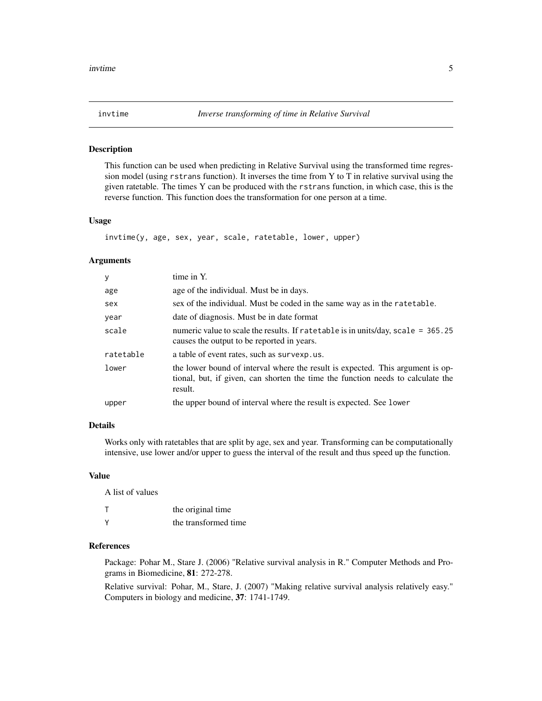<span id="page-4-1"></span><span id="page-4-0"></span>

#### Description

This function can be used when predicting in Relative Survival using the transformed time regression model (using rstrans function). It inverses the time from Y to T in relative survival using the given ratetable. The times Y can be produced with the rstrans function, in which case, this is the reverse function. This function does the transformation for one person at a time.

#### Usage

invtime(y, age, sex, year, scale, ratetable, lower, upper)

#### **Arguments**

| y         | time in Y.                                                                                                                                                                   |
|-----------|------------------------------------------------------------------------------------------------------------------------------------------------------------------------------|
| age       | age of the individual. Must be in days.                                                                                                                                      |
| sex       | sex of the individual. Must be coded in the same way as in the rate table.                                                                                                   |
| year      | date of diagnosis. Must be in date format                                                                                                                                    |
| scale     | numeric value to scale the results. If ratetable is in units/day, scale = 365.25<br>causes the output to be reported in years.                                               |
| ratetable | a table of event rates, such as survexp.us.                                                                                                                                  |
| lower     | the lower bound of interval where the result is expected. This argument is op-<br>tional, but, if given, can shorten the time the function needs to calculate the<br>result. |
| upper     | the upper bound of interval where the result is expected. See lower                                                                                                          |

#### Details

Works only with ratetables that are split by age, sex and year. Transforming can be computationally intensive, use lower and/or upper to guess the interval of the result and thus speed up the function.

#### Value

A list of values

| т | the original time    |
|---|----------------------|
| v | the transformed time |

#### References

Package: Pohar M., Stare J. (2006) "Relative survival analysis in R." Computer Methods and Programs in Biomedicine, 81: 272-278.

Relative survival: Pohar, M., Stare, J. (2007) "Making relative survival analysis relatively easy." Computers in biology and medicine, 37: 1741-1749.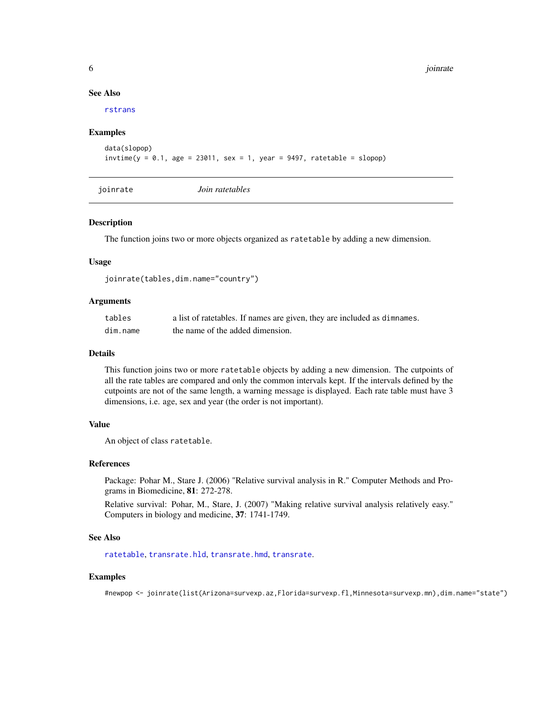#### See Also

[rstrans](#page-19-1)

#### Examples

```
data(slopop)
invtime(y = 0.1, age = 23011, sex = 1, year = 9497, ratetable = slope)
```
<span id="page-5-1"></span>joinrate *Join ratetables*

#### Description

The function joins two or more objects organized as ratetable by adding a new dimension.

#### Usage

joinrate(tables,dim.name="country")

#### Arguments

| tables   | a list of ratetables. If names are given, they are included as dimnames. |
|----------|--------------------------------------------------------------------------|
| dim.name | the name of the added dimension.                                         |

#### Details

This function joins two or more ratetable objects by adding a new dimension. The cutpoints of all the rate tables are compared and only the common intervals kept. If the intervals defined by the cutpoints are not of the same length, a warning message is displayed. Each rate table must have 3 dimensions, i.e. age, sex and year (the order is not important).

#### Value

An object of class ratetable.

#### References

Package: Pohar M., Stare J. (2006) "Relative survival analysis in R." Computer Methods and Programs in Biomedicine, 81: 272-278.

Relative survival: Pohar, M., Stare, J. (2007) "Making relative survival analysis relatively easy." Computers in biology and medicine, 37: 1741-1749.

#### See Also

[ratetable](#page-0-0), [transrate.hld](#page-24-1), [transrate.hmd](#page-25-1), [transrate](#page-23-1).

#### Examples

#newpop <- joinrate(list(Arizona=survexp.az,Florida=survexp.fl,Minnesota=survexp.mn),dim.name="state")

<span id="page-5-0"></span>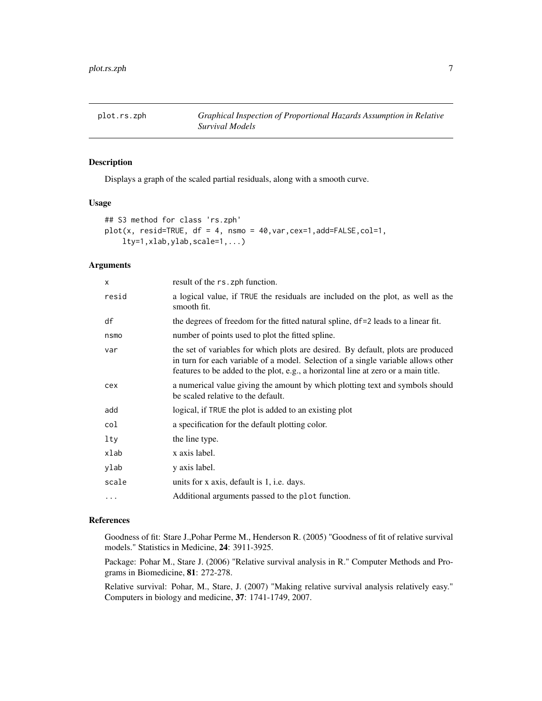<span id="page-6-0"></span>

## Description

Displays a graph of the scaled partial residuals, along with a smooth curve.

#### Usage

```
## S3 method for class 'rs.zph'
plot(x, result = TRUE, df = 4, nsmo = 40, var, cex=1, add = FALSE, col=1,lty=1,xlab,ylab,scale=1,...)
```
#### Arguments

| result of the rs. zph function.                                                                                                                                                                                                                             |
|-------------------------------------------------------------------------------------------------------------------------------------------------------------------------------------------------------------------------------------------------------------|
| a logical value, if TRUE the residuals are included on the plot, as well as the<br>smooth fit.                                                                                                                                                              |
| the degrees of freedom for the fitted natural spline, df=2 leads to a linear fit.                                                                                                                                                                           |
| number of points used to plot the fitted spline.                                                                                                                                                                                                            |
| the set of variables for which plots are desired. By default, plots are produced<br>in turn for each variable of a model. Selection of a single variable allows other<br>features to be added to the plot, e.g., a horizontal line at zero or a main title. |
| a numerical value giving the amount by which plotting text and symbols should<br>be scaled relative to the default.                                                                                                                                         |
| logical, if TRUE the plot is added to an existing plot                                                                                                                                                                                                      |
| a specification for the default plotting color.                                                                                                                                                                                                             |
| the line type.                                                                                                                                                                                                                                              |
| x axis label.                                                                                                                                                                                                                                               |
| y axis label.                                                                                                                                                                                                                                               |
| units for x axis, default is 1, i.e. days.                                                                                                                                                                                                                  |
| Additional arguments passed to the plot function.                                                                                                                                                                                                           |
|                                                                                                                                                                                                                                                             |

#### References

Goodness of fit: Stare J.,Pohar Perme M., Henderson R. (2005) "Goodness of fit of relative survival models." Statistics in Medicine, 24: 3911-3925.

Package: Pohar M., Stare J. (2006) "Relative survival analysis in R." Computer Methods and Programs in Biomedicine, 81: 272-278.

Relative survival: Pohar, M., Stare, J. (2007) "Making relative survival analysis relatively easy." Computers in biology and medicine, 37: 1741-1749, 2007.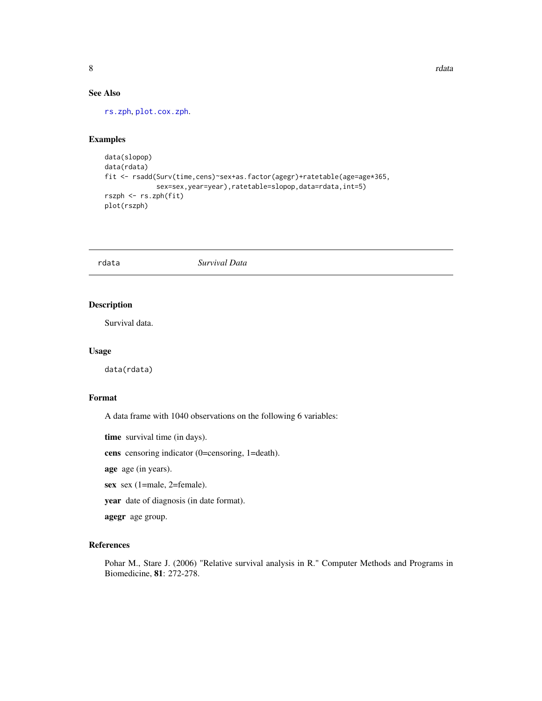<span id="page-7-0"></span>8 rdata and the contract of the contract of the contract of the contract of the contract of the contract of the contract of the contract of the contract of the contract of the contract of the contract of the contract of th

# See Also

[rs.zph](#page-13-1), [plot.cox.zph](#page-0-0).

#### Examples

```
data(slopop)
data(rdata)
fit <- rsadd(Surv(time,cens)~sex+as.factor(agegr)+ratetable(age=age*365,
             sex=sex,year=year),ratetable=slopop,data=rdata,int=5)
rszph <- rs.zph(fit)
plot(rszph)
```
rdata *Survival Data*

### Description

Survival data.

#### Usage

data(rdata)

#### Format

A data frame with 1040 observations on the following 6 variables:

time survival time (in days).

cens censoring indicator (0=censoring, 1=death).

age age (in years).

sex sex (1=male, 2=female).

year date of diagnosis (in date format).

agegr age group.

#### References

Pohar M., Stare J. (2006) "Relative survival analysis in R." Computer Methods and Programs in Biomedicine, 81: 272-278.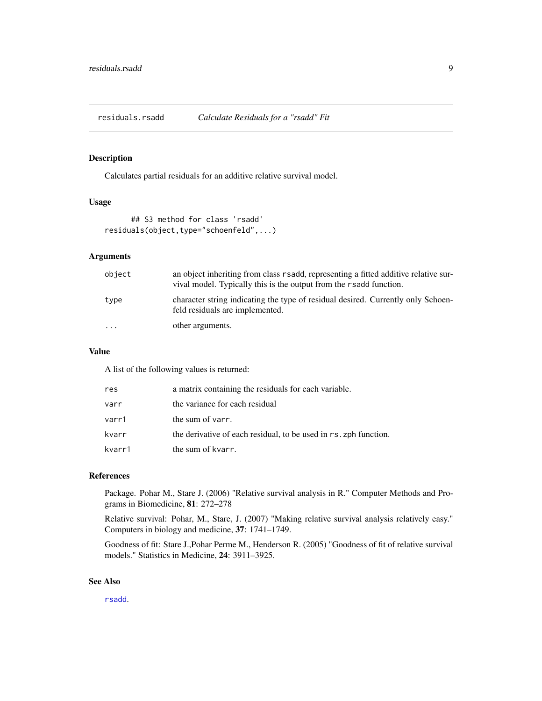<span id="page-8-0"></span>residuals.rsadd *Calculate Residuals for a "rsadd" Fit*

#### Description

Calculates partial residuals for an additive relative survival model.

#### Usage

```
## S3 method for class 'rsadd'
residuals(object,type="schoenfeld",...)
```
#### Arguments

| object   | an object inheriting from class r sadd, representing a fitted additive relative sur-<br>vival model. Typically this is the output from the r sadd function. |
|----------|-------------------------------------------------------------------------------------------------------------------------------------------------------------|
| type     | character string indicating the type of residual desired. Currently only Schoen-<br>feld residuals are implemented.                                         |
| $\cdots$ | other arguments.                                                                                                                                            |

#### Value

A list of the following values is returned:

| res    | a matrix containing the residuals for each variable.             |
|--------|------------------------------------------------------------------|
| varr   | the variance for each residual                                   |
| varr1  | the sum of varr.                                                 |
| kvarr  | the derivative of each residual, to be used in rs. zph function. |
| kvarr1 | the sum of kvarr.                                                |

#### References

Package. Pohar M., Stare J. (2006) "Relative survival analysis in R." Computer Methods and Programs in Biomedicine, 81: 272–278

Relative survival: Pohar, M., Stare, J. (2007) "Making relative survival analysis relatively easy." Computers in biology and medicine, 37: 1741–1749.

Goodness of fit: Stare J.,Pohar Perme M., Henderson R. (2005) "Goodness of fit of relative survival models." Statistics in Medicine, 24: 3911–3925.

#### See Also

[rsadd](#page-14-1).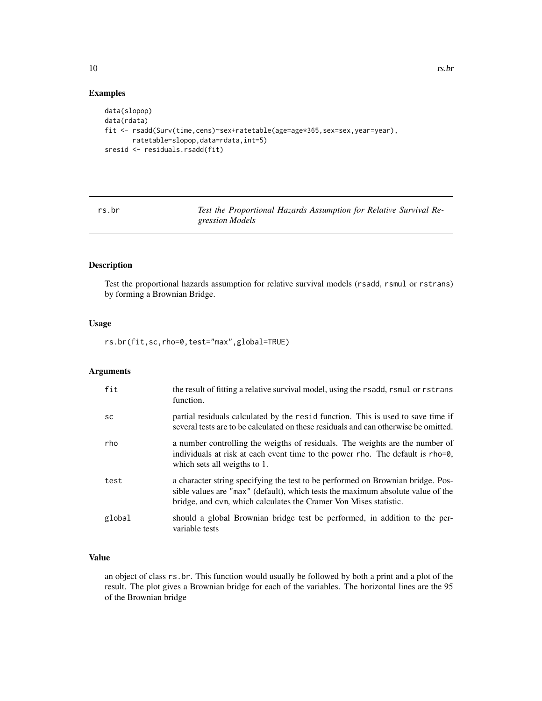# Examples

```
data(slopop)
data(rdata)
fit <- rsadd(Surv(time,cens)~sex+ratetable(age=age*365,sex=sex,year=year),
       ratetable=slopop,data=rdata,int=5)
sresid <- residuals.rsadd(fit)
```
rs.br *Test the Proportional Hazards Assumption for Relative Survival Regression Models*

# Description

Test the proportional hazards assumption for relative survival models (rsadd, rsmul or rstrans) by forming a Brownian Bridge.

#### Usage

rs.br(fit,sc,rho=0,test="max",global=TRUE)

### Arguments

| fit       | the result of fitting a relative survival model, using the rsadd, rsmul or rstrans<br>function.                                                                                                                                         |
|-----------|-----------------------------------------------------------------------------------------------------------------------------------------------------------------------------------------------------------------------------------------|
| <b>SC</b> | partial residuals calculated by the resid function. This is used to save time if<br>several tests are to be calculated on these residuals and can otherwise be omitted.                                                                 |
| rho       | a number controlling the weigths of residuals. The weights are the number of<br>individuals at risk at each event time to the power rho. The default is rho=0,<br>which sets all weigths to 1.                                          |
| test      | a character string specifying the test to be performed on Brownian bridge. Pos-<br>sible values are "max" (default), which tests the maximum absolute value of the<br>bridge, and cym, which calculates the Cramer Von Mises statistic. |
| global    | should a global Brownian bridge test be performed, in addition to the per-<br>variable tests                                                                                                                                            |

# Value

an object of class rs.br. This function would usually be followed by both a print and a plot of the result. The plot gives a Brownian bridge for each of the variables. The horizontal lines are the 95 of the Brownian bridge

<span id="page-9-0"></span>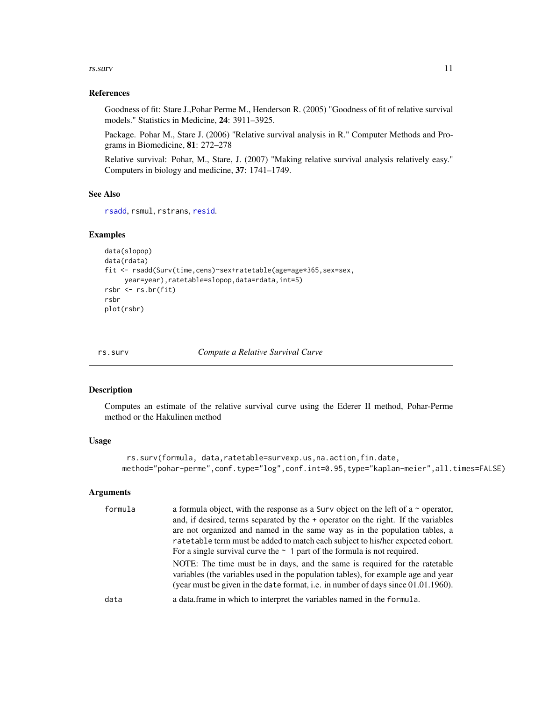#### <span id="page-10-0"></span>rs.surv 11

#### References

Goodness of fit: Stare J.,Pohar Perme M., Henderson R. (2005) "Goodness of fit of relative survival models." Statistics in Medicine, 24: 3911–3925.

Package. Pohar M., Stare J. (2006) "Relative survival analysis in R." Computer Methods and Programs in Biomedicine, 81: 272–278

Relative survival: Pohar, M., Stare, J. (2007) "Making relative survival analysis relatively easy." Computers in biology and medicine, 37: 1741–1749.

#### See Also

[rsadd](#page-14-1), rsmul, rstrans, [resid](#page-0-0).

#### Examples

```
data(slopop)
data(rdata)
fit <- rsadd(Surv(time,cens)~sex+ratetable(age=age*365,sex=sex,
     year=year),ratetable=slopop,data=rdata,int=5)
rsbr <- rs.br(fit)
rsbr
plot(rsbr)
```
<span id="page-10-1"></span>rs.surv *Compute a Relative Survival Curve*

#### Description

Computes an estimate of the relative survival curve using the Ederer II method, Pohar-Perme method or the Hakulinen method

#### Usage

```
rs.surv(formula, data,ratetable=survexp.us,na.action,fin.date,
method="pohar-perme",conf.type="log",conf.int=0.95,type="kaplan-meier",all.times=FALSE)
```
#### Arguments

| formula | a formula object, with the response as a Surv object on the left of a $\sim$ operator,<br>and, if desired, terms separated by the + operator on the right. If the variables<br>are not organized and named in the same way as in the population tables, a<br>ratetable term must be added to match each subject to his/her expected cohort.<br>For a single survival curve the $\sim$ 1 part of the formula is not required. |
|---------|------------------------------------------------------------------------------------------------------------------------------------------------------------------------------------------------------------------------------------------------------------------------------------------------------------------------------------------------------------------------------------------------------------------------------|
| data    | NOTE: The time must be in days, and the same is required for the ratetable<br>variables (the variables used in the population tables), for example age and year<br>(year must be given in the date format, i.e. in number of days since $01.01.1960$ ).<br>a data.frame in which to interpret the variables named in the formula.                                                                                            |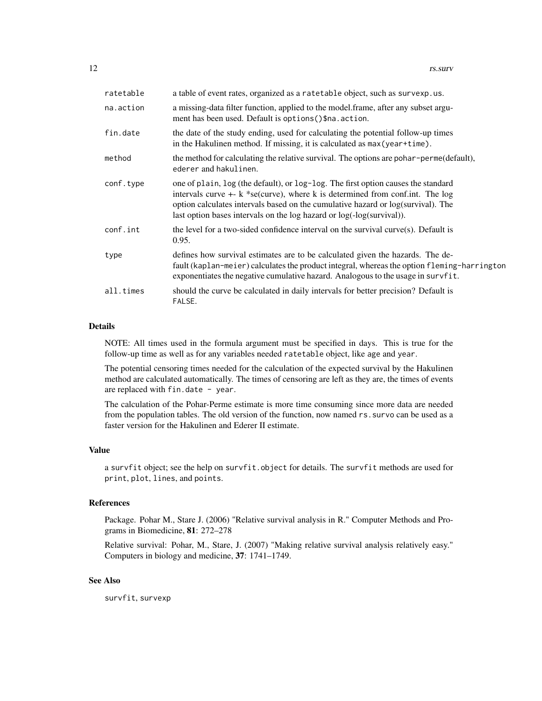| ratetable | a table of event rates, organized as a ratetable object, such as survexp.us.                                                                                                                                                                                                                                                       |
|-----------|------------------------------------------------------------------------------------------------------------------------------------------------------------------------------------------------------------------------------------------------------------------------------------------------------------------------------------|
| na.action | a missing-data filter function, applied to the model frame, after any subset argu-<br>ment has been used. Default is options () \$na. action.                                                                                                                                                                                      |
| fin.date  | the date of the study ending, used for calculating the potential follow-up times<br>in the Hakulinen method. If missing, it is calculated as max (year+time).                                                                                                                                                                      |
| method    | the method for calculating the relative survival. The options are pohar-perme(default),<br>ederer and hakulinen.                                                                                                                                                                                                                   |
| conf.type | one of plain, log (the default), or log-log. The first option causes the standard<br>intervals curve $+$ - k *se(curve), where k is determined from conf.int. The log<br>option calculates intervals based on the cumulative hazard or log(survival). The<br>last option bases intervals on the log hazard or log(-log(survival)). |
| conf.int  | the level for a two-sided confidence interval on the survival curve(s). Default is<br>0.95.                                                                                                                                                                                                                                        |
| type      | defines how survival estimates are to be calculated given the hazards. The de-<br>fault (kaplan-meier) calculates the product integral, whereas the option fleming-harrington<br>exponentiates the negative cumulative hazard. Analogous to the usage in survfit.                                                                  |
| all.times | should the curve be calculated in daily intervals for better precision? Default is<br>FALSE.                                                                                                                                                                                                                                       |

# Details

NOTE: All times used in the formula argument must be specified in days. This is true for the follow-up time as well as for any variables needed ratetable object, like age and year.

The potential censoring times needed for the calculation of the expected survival by the Hakulinen method are calculated automatically. The times of censoring are left as they are, the times of events are replaced with fin.date - year.

The calculation of the Pohar-Perme estimate is more time consuming since more data are needed from the population tables. The old version of the function, now named rs.survo can be used as a faster version for the Hakulinen and Ederer II estimate.

#### Value

a survfit object; see the help on survfit.object for details. The survfit methods are used for print, plot, lines, and points.

### References

Package. Pohar M., Stare J. (2006) "Relative survival analysis in R." Computer Methods and Programs in Biomedicine, 81: 272–278

Relative survival: Pohar, M., Stare, J. (2007) "Making relative survival analysis relatively easy." Computers in biology and medicine, 37: 1741–1749.

# See Also

survfit, survexp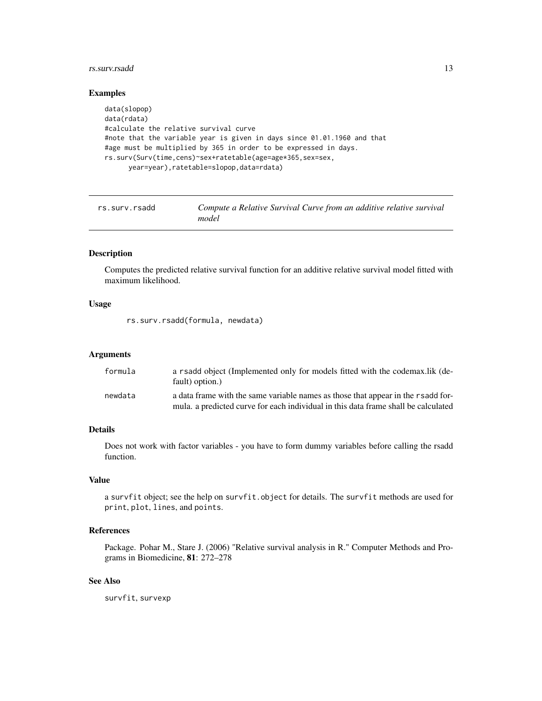#### <span id="page-12-0"></span>rs.surv.rsadd 13

# Examples

```
data(slopop)
data(rdata)
#calculate the relative survival curve
#note that the variable year is given in days since 01.01.1960 and that
#age must be multiplied by 365 in order to be expressed in days.
rs.surv(Surv(time,cens)~sex+ratetable(age=age*365,sex=sex,
      year=year),ratetable=slopop,data=rdata)
```
rs.surv.rsadd *Compute a Relative Survival Curve from an additive relative survival model*

# Description

Computes the predicted relative survival function for an additive relative survival model fitted with maximum likelihood.

#### Usage

rs.surv.rsadd(formula, newdata)

#### **Arguments**

| formula | a rsadd object (Implemented only for models fitted with the codemax.lik (de-<br>fault) option.)                                                                        |
|---------|------------------------------------------------------------------------------------------------------------------------------------------------------------------------|
| newdata | a data frame with the same variable names as those that appear in the rsadd for-<br>mula. a predicted curve for each individual in this data frame shall be calculated |

#### Details

Does not work with factor variables - you have to form dummy variables before calling the rsadd function.

#### Value

a survfit object; see the help on survfit.object for details. The survfit methods are used for print, plot, lines, and points.

# References

Package. Pohar M., Stare J. (2006) "Relative survival analysis in R." Computer Methods and Programs in Biomedicine, 81: 272–278

#### See Also

survfit, survexp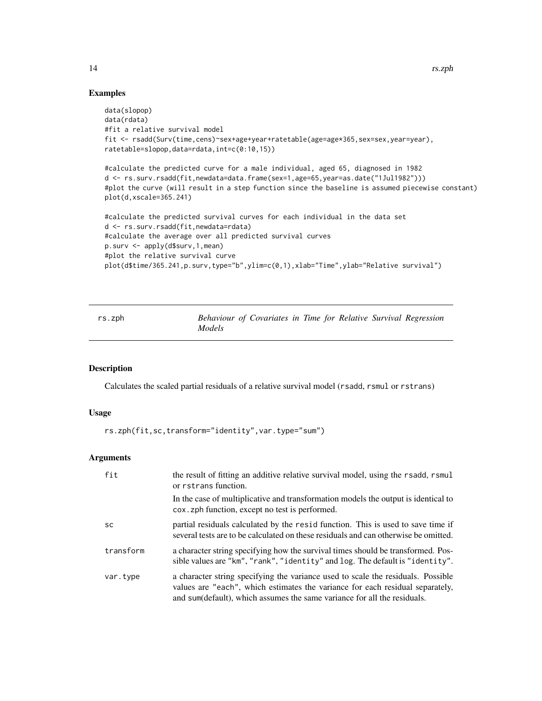#### Examples

```
data(slopop)
data(rdata)
#fit a relative survival model
fit <- rsadd(Surv(time,cens)~sex+age+year+ratetable(age=age*365,sex=sex,year=year),
ratetable=slopop,data=rdata,int=c(0:10,15))
#calculate the predicted curve for a male individual, aged 65, diagnosed in 1982
d <- rs.surv.rsadd(fit,newdata=data.frame(sex=1,age=65,year=as.date("1Jul1982")))
#plot the curve (will result in a step function since the baseline is assumed piecewise constant)
plot(d,xscale=365.241)
#calculate the predicted survival curves for each individual in the data set
d <- rs.surv.rsadd(fit,newdata=rdata)
#calculate the average over all predicted survival curves
p.surv <- apply(d$surv,1,mean)
#plot the relative survival curve
plot(d$time/365.241,p.surv,type="b",ylim=c(0,1),xlab="Time",ylab="Relative survival")
```
<span id="page-13-1"></span>rs.zph *Behaviour of Covariates in Time for Relative Survival Regression Models*

#### Description

Calculates the scaled partial residuals of a relative survival model (rsadd, rsmul or rstrans)

#### Usage

rs.zph(fit,sc,transform="identity",var.type="sum")

#### Arguments

| fit       | the result of fitting an additive relative survival model, using the rsadd, rsmul<br>or rstrans function.                                                                                                                                     |
|-----------|-----------------------------------------------------------------------------------------------------------------------------------------------------------------------------------------------------------------------------------------------|
|           | In the case of multiplicative and transformation models the output is identical to<br>cox. zph function, except no test is performed.                                                                                                         |
| <b>SC</b> | partial residuals calculated by the resid function. This is used to save time if<br>several tests are to be calculated on these residuals and can otherwise be omitted.                                                                       |
| transform | a character string specifying how the survival times should be transformed. Pos-<br>sible values are "km", "rank", "identity" and log. The default is "identity".                                                                             |
| var.type  | a character string specifying the variance used to scale the residuals. Possible<br>values are "each", which estimates the variance for each residual separately,<br>and sum(default), which assumes the same variance for all the residuals. |

<span id="page-13-0"></span>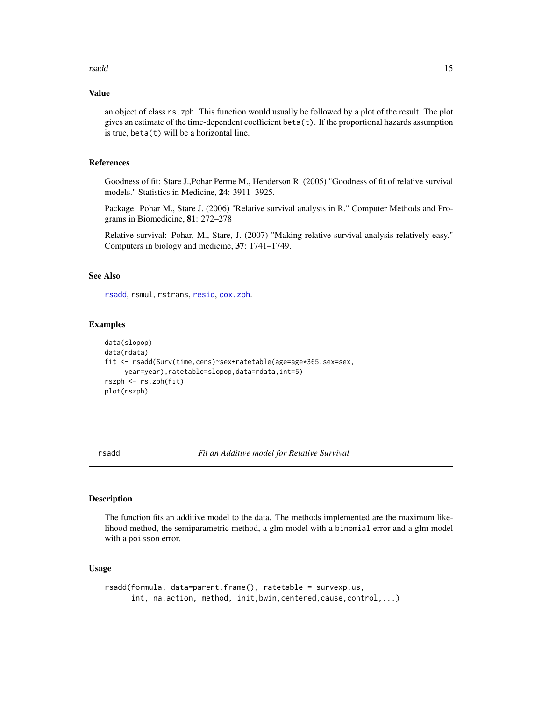#### <span id="page-14-0"></span>rsadd 15

#### Value

an object of class rs.zph. This function would usually be followed by a plot of the result. The plot gives an estimate of the time-dependent coefficient beta(t). If the proportional hazards assumption is true,  $beta(t)$  will be a horizontal line.

#### References

Goodness of fit: Stare J.,Pohar Perme M., Henderson R. (2005) "Goodness of fit of relative survival models." Statistics in Medicine, 24: 3911–3925.

Package. Pohar M., Stare J. (2006) "Relative survival analysis in R." Computer Methods and Programs in Biomedicine, 81: 272–278

Relative survival: Pohar, M., Stare, J. (2007) "Making relative survival analysis relatively easy." Computers in biology and medicine, 37: 1741–1749.

#### See Also

[rsadd](#page-14-1), rsmul, rstrans, [resid](#page-0-0), [cox.zph](#page-0-0).

# Examples

```
data(slopop)
data(rdata)
fit <- rsadd(Surv(time,cens)~sex+ratetable(age=age*365,sex=sex,
    year=year),ratetable=slopop,data=rdata,int=5)
rszph <- rs.zph(fit)
plot(rszph)
```
<span id="page-14-1"></span>rsadd *Fit an Additive model for Relative Survival*

#### Description

The function fits an additive model to the data. The methods implemented are the maximum likelihood method, the semiparametric method, a glm model with a binomial error and a glm model with a poisson error.

# Usage

```
rsadd(formula, data=parent.frame(), ratetable = survexp.us,
     int, na.action, method, init,bwin,centered,cause,control,...)
```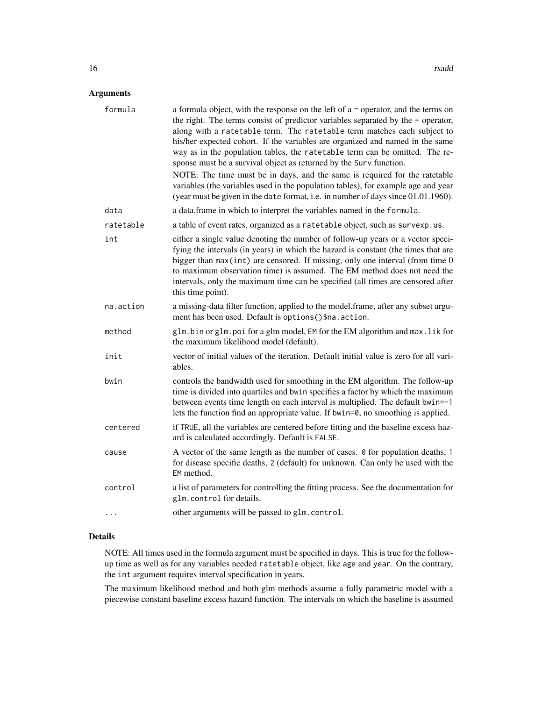# Arguments

| formula   | a formula object, with the response on the left of $a \sim$ operator, and the terms on<br>the right. The terms consist of predictor variables separated by the + operator,<br>along with a ratetable term. The ratetable term matches each subject to<br>his/her expected cohort. If the variables are organized and named in the same<br>way as in the population tables, the ratetable term can be omitted. The re-<br>sponse must be a survival object as returned by the Surv function. |
|-----------|---------------------------------------------------------------------------------------------------------------------------------------------------------------------------------------------------------------------------------------------------------------------------------------------------------------------------------------------------------------------------------------------------------------------------------------------------------------------------------------------|
|           | NOTE: The time must be in days, and the same is required for the ratetable<br>variables (the variables used in the population tables), for example age and year<br>(year must be given in the date format, i.e. in number of days since 01.01.1960).                                                                                                                                                                                                                                        |
| data      | a data.frame in which to interpret the variables named in the formula.                                                                                                                                                                                                                                                                                                                                                                                                                      |
| ratetable | a table of event rates, organized as a ratetable object, such as survexp.us.                                                                                                                                                                                                                                                                                                                                                                                                                |
| int       | either a single value denoting the number of follow-up years or a vector speci-<br>fying the intervals (in years) in which the hazard is constant (the times that are<br>bigger than $max(int)$ are censored. If missing, only one interval (from time $0$<br>to maximum observation time) is assumed. The EM method does not need the<br>intervals, only the maximum time can be specified (all times are censored after<br>this time point).                                              |
| na.action | a missing-data filter function, applied to the model.frame, after any subset argu-<br>ment has been used. Default is options () \$na. action.                                                                                                                                                                                                                                                                                                                                               |
| method    | glm.bin or glm.poi for a glm model, EM for the EM algorithm and max.lik for<br>the maximum likelihood model (default).                                                                                                                                                                                                                                                                                                                                                                      |
| init      | vector of initial values of the iteration. Default initial value is zero for all vari-<br>ables.                                                                                                                                                                                                                                                                                                                                                                                            |
| bwin      | controls the bandwidth used for smoothing in the EM algorithm. The follow-up<br>time is divided into quartiles and bwin specifies a factor by which the maximum<br>between events time length on each interval is multiplied. The default bwin=-1<br>lets the function find an appropriate value. If bwin=0, no smoothing is applied.                                                                                                                                                       |
| centered  | if TRUE, all the variables are centered before fitting and the baseline excess haz-<br>ard is calculated accordingly. Default is FALSE.                                                                                                                                                                                                                                                                                                                                                     |
| cause     | A vector of the same length as the number of cases. 0 for population deaths, 1<br>for disease specific deaths, 2 (default) for unknown. Can only be used with the<br>EM method.                                                                                                                                                                                                                                                                                                             |
| control   | a list of parameters for controlling the fitting process. See the documentation for<br>glm.control for details.                                                                                                                                                                                                                                                                                                                                                                             |
|           | other arguments will be passed to glm.control.                                                                                                                                                                                                                                                                                                                                                                                                                                              |

#### Details

NOTE: All times used in the formula argument must be specified in days. This is true for the followup time as well as for any variables needed ratetable object, like age and year. On the contrary, the int argument requires interval specification in years.

The maximum likelihood method and both glm methods assume a fully parametric model with a piecewise constant baseline excess hazard function. The intervals on which the baseline is assumed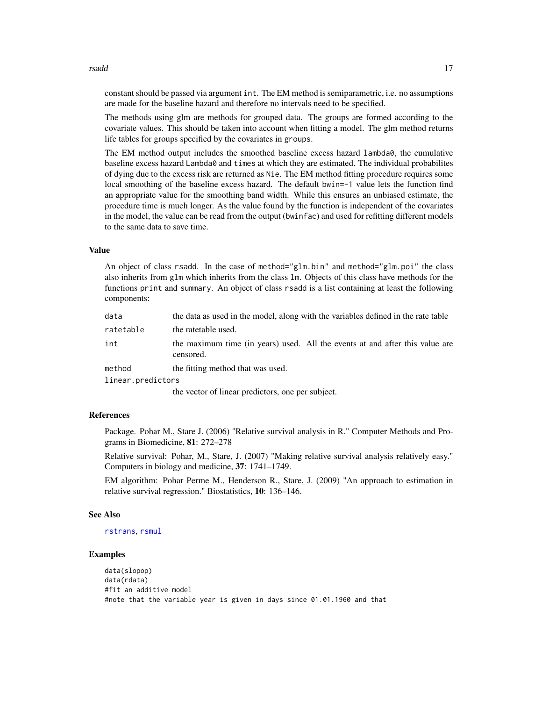#### <span id="page-16-0"></span>rsadd 17

constant should be passed via argument int. The EM method is semiparametric, i.e. no assumptions are made for the baseline hazard and therefore no intervals need to be specified.

The methods using glm are methods for grouped data. The groups are formed according to the covariate values. This should be taken into account when fitting a model. The glm method returns life tables for groups specified by the covariates in groups.

The EM method output includes the smoothed baseline excess hazard lambda0, the cumulative baseline excess hazard Lambda0 and times at which they are estimated. The individual probabilites of dying due to the excess risk are returned as Nie. The EM method fitting procedure requires some local smoothing of the baseline excess hazard. The default bwin=-1 value lets the function find an appropriate value for the smoothing band width. While this ensures an unbiased estimate, the procedure time is much longer. As the value found by the function is independent of the covariates in the model, the value can be read from the output (bwinfac) and used for refitting different models to the same data to save time.

#### Value

An object of class rsadd. In the case of method="glm.bin" and method="glm.poi" the class also inherits from glm which inherits from the class lm. Objects of this class have methods for the functions print and summary. An object of class rsadd is a list containing at least the following components:

| data              | the data as used in the model, along with the variables defined in the rate table         |
|-------------------|-------------------------------------------------------------------------------------------|
| ratetable         | the ratetable used.                                                                       |
| int               | the maximum time (in years) used. All the events at and after this value are<br>censored. |
| method            | the fitting method that was used.                                                         |
| linear.predictors |                                                                                           |
|                   | the vector of linear predictors, one per subject.                                         |

# References

Package. Pohar M., Stare J. (2006) "Relative survival analysis in R." Computer Methods and Programs in Biomedicine, 81: 272–278

Relative survival: Pohar, M., Stare, J. (2007) "Making relative survival analysis relatively easy." Computers in biology and medicine, 37: 1741–1749.

EM algorithm: Pohar Perme M., Henderson R., Stare, J. (2009) "An approach to estimation in relative survival regression." Biostatistics, 10: 136–146.

#### See Also

[rstrans](#page-19-1), [rsmul](#page-17-1)

#### Examples

```
data(slopop)
data(rdata)
#fit an additive model
#note that the variable year is given in days since 01.01.1960 and that
```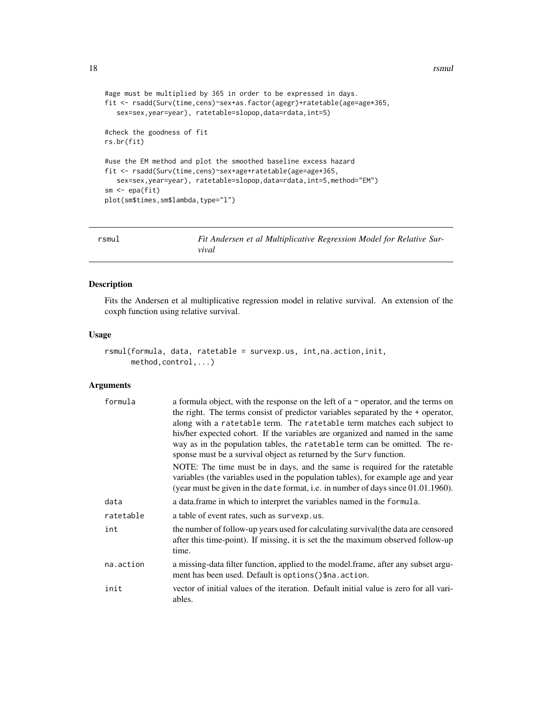```
#age must be multiplied by 365 in order to be expressed in days.
fit <- rsadd(Surv(time,cens)~sex+as.factor(agegr)+ratetable(age=age*365,
  sex=sex,year=year), ratetable=slopop,data=rdata,int=5)
#check the goodness of fit
rs.br(fit)
#use the EM method and plot the smoothed baseline excess hazard
fit <- rsadd(Surv(time,cens)~sex+age+ratetable(age=age*365,
  sex=sex,year=year), ratetable=slopop,data=rdata,int=5,method="EM")
sm <- epa(fit)
plot(sm$times,sm$lambda,type="l")
```
<span id="page-17-1"></span>rsmul *Fit Andersen et al Multiplicative Regression Model for Relative Survival*

#### Description

Fits the Andersen et al multiplicative regression model in relative survival. An extension of the coxph function using relative survival.

#### Usage

```
rsmul(formula, data, ratetable = survexp.us, int,na.action,init,
     method,control,...)
```
#### Arguments

| formula   | a formula object, with the response on the left of a $\sim$ operator, and the terms on<br>the right. The terms consist of predictor variables separated by the $+$ operator,<br>along with a ratetable term. The ratetable term matches each subject to<br>his/her expected cohort. If the variables are organized and named in the same<br>way as in the population tables, the ratetable term can be omitted. The re-<br>sponse must be a survival object as returned by the Surv function.<br>NOTE: The time must be in days, and the same is required for the ratetable<br>variables (the variables used in the population tables), for example age and year |
|-----------|------------------------------------------------------------------------------------------------------------------------------------------------------------------------------------------------------------------------------------------------------------------------------------------------------------------------------------------------------------------------------------------------------------------------------------------------------------------------------------------------------------------------------------------------------------------------------------------------------------------------------------------------------------------|
|           | (year must be given in the date format, i.e. in number of days since 01.01.1960).                                                                                                                                                                                                                                                                                                                                                                                                                                                                                                                                                                                |
| data      | a data frame in which to interpret the variables named in the formula.                                                                                                                                                                                                                                                                                                                                                                                                                                                                                                                                                                                           |
| ratetable | a table of event rates, such as survexp.us.                                                                                                                                                                                                                                                                                                                                                                                                                                                                                                                                                                                                                      |
| int       | the number of follow-up years used for calculating survival (the data are censored<br>after this time-point). If missing, it is set the the maximum observed follow-up<br>time.                                                                                                                                                                                                                                                                                                                                                                                                                                                                                  |
| na.action | a missing-data filter function, applied to the model frame, after any subset argu-<br>ment has been used. Default is options () \$na. action.                                                                                                                                                                                                                                                                                                                                                                                                                                                                                                                    |
| init      | vector of initial values of the iteration. Default initial value is zero for all vari-<br>ables.                                                                                                                                                                                                                                                                                                                                                                                                                                                                                                                                                                 |

<span id="page-17-0"></span>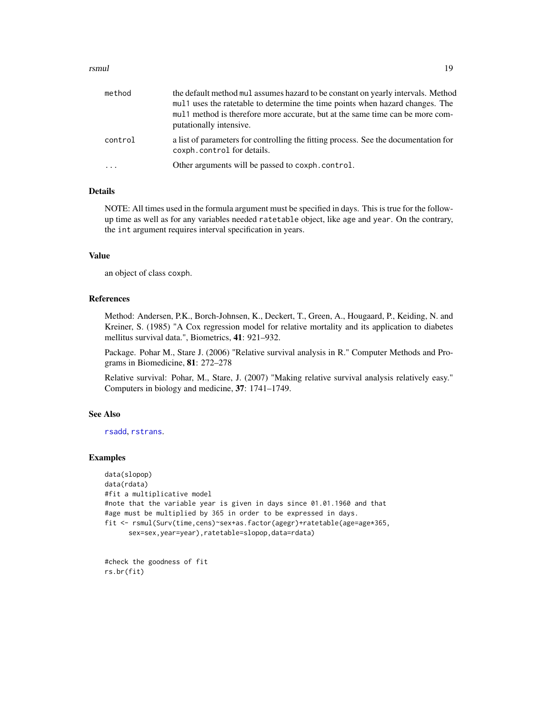#### <span id="page-18-0"></span>rsmul and the contract of the contract of the contract of the contract of the contract of the contract of the contract of the contract of the contract of the contract of the contract of the contract of the contract of the

| method  | the default method mul assumes hazard to be constant on yearly intervals. Method<br>mul 1 uses the rate table to determine the time points when hazard changes. The<br>mul 1 method is therefore more accurate, but at the same time can be more com-<br>putationally intensive. |
|---------|----------------------------------------------------------------------------------------------------------------------------------------------------------------------------------------------------------------------------------------------------------------------------------|
| control | a list of parameters for controlling the fitting process. See the documentation for<br>coxph.control for details.                                                                                                                                                                |
| $\cdot$ | Other arguments will be passed to coxph.control.                                                                                                                                                                                                                                 |

### Details

NOTE: All times used in the formula argument must be specified in days. This is true for the followup time as well as for any variables needed ratetable object, like age and year. On the contrary, the int argument requires interval specification in years.

### Value

an object of class coxph.

#### References

Method: Andersen, P.K., Borch-Johnsen, K., Deckert, T., Green, A., Hougaard, P., Keiding, N. and Kreiner, S. (1985) "A Cox regression model for relative mortality and its application to diabetes mellitus survival data.", Biometrics, 41: 921–932.

Package. Pohar M., Stare J. (2006) "Relative survival analysis in R." Computer Methods and Programs in Biomedicine, 81: 272–278

Relative survival: Pohar, M., Stare, J. (2007) "Making relative survival analysis relatively easy." Computers in biology and medicine, 37: 1741–1749.

### See Also

[rsadd](#page-14-1), [rstrans](#page-19-1).

### Examples

```
data(slopop)
data(rdata)
#fit a multiplicative model
#note that the variable year is given in days since 01.01.1960 and that
#age must be multiplied by 365 in order to be expressed in days.
fit <- rsmul(Surv(time,cens)~sex+as.factor(agegr)+ratetable(age=age*365,
      sex=sex,year=year),ratetable=slopop,data=rdata)
```
#check the goodness of fit rs.br(fit)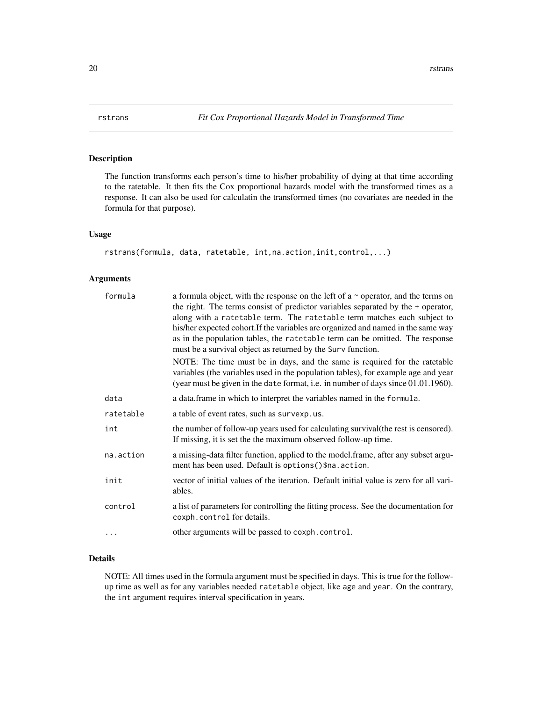#### Description

The function transforms each person's time to his/her probability of dying at that time according to the ratetable. It then fits the Cox proportional hazards model with the transformed times as a response. It can also be used for calculatin the transformed times (no covariates are needed in the formula for that purpose).

#### Usage

```
rstrans(formula, data, ratetable, int,na.action,init,control,...)
```
# Arguments

| formula   | a formula object, with the response on the left of a $\sim$ operator, and the terms on<br>the right. The terms consist of predictor variables separated by the $+$ operator,<br>along with a ratetable term. The ratetable term matches each subject to<br>his/her expected cohort. If the variables are organized and named in the same way<br>as in the population tables, the ratetable term can be omitted. The response<br>must be a survival object as returned by the Surv function. |
|-----------|---------------------------------------------------------------------------------------------------------------------------------------------------------------------------------------------------------------------------------------------------------------------------------------------------------------------------------------------------------------------------------------------------------------------------------------------------------------------------------------------|
|           | NOTE: The time must be in days, and the same is required for the ratetable<br>variables (the variables used in the population tables), for example age and year<br>(year must be given in the date format, i.e. in number of days since 01.01.1960).                                                                                                                                                                                                                                        |
| data      | a data. frame in which to interpret the variables named in the formula.                                                                                                                                                                                                                                                                                                                                                                                                                     |
| ratetable | a table of event rates, such as survexp.us.                                                                                                                                                                                                                                                                                                                                                                                                                                                 |
| int       | the number of follow-up years used for calculating survival (the rest is censored).<br>If missing, it is set the the maximum observed follow-up time.                                                                                                                                                                                                                                                                                                                                       |
| na.action | a missing-data filter function, applied to the model.frame, after any subset argu-<br>ment has been used. Default is options () \$na. action.                                                                                                                                                                                                                                                                                                                                               |
| init      | vector of initial values of the iteration. Default initial value is zero for all vari-<br>ables.                                                                                                                                                                                                                                                                                                                                                                                            |
| control   | a list of parameters for controlling the fitting process. See the documentation for<br>coxph.control for details.                                                                                                                                                                                                                                                                                                                                                                           |
| .         | other arguments will be passed to coxph.control.                                                                                                                                                                                                                                                                                                                                                                                                                                            |

#### Details

NOTE: All times used in the formula argument must be specified in days. This is true for the followup time as well as for any variables needed ratetable object, like age and year. On the contrary, the int argument requires interval specification in years.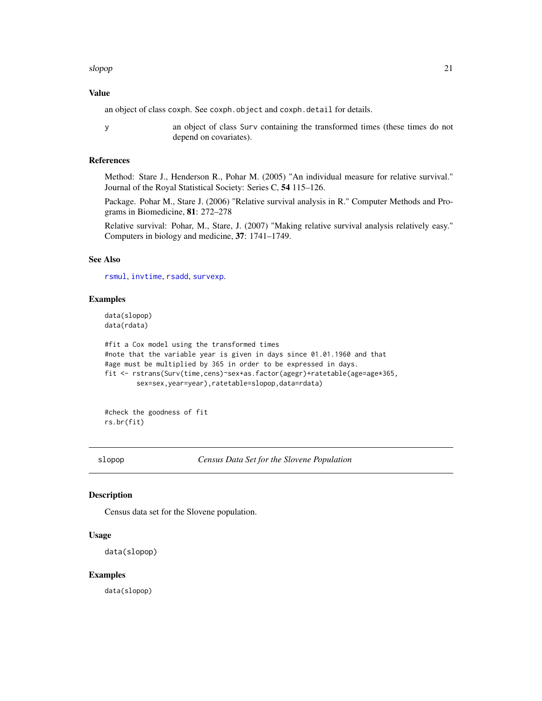#### <span id="page-20-0"></span>slopop 21

#### Value

an object of class coxph. See coxph.object and coxph.detail for details.

y an object of class Surv containing the transformed times (these times do not depend on covariates).

# References

Method: Stare J., Henderson R., Pohar M. (2005) "An individual measure for relative survival." Journal of the Royal Statistical Society: Series C, 54 115–126.

Package. Pohar M., Stare J. (2006) "Relative survival analysis in R." Computer Methods and Programs in Biomedicine, 81: 272–278

Relative survival: Pohar, M., Stare, J. (2007) "Making relative survival analysis relatively easy." Computers in biology and medicine, 37: 1741–1749.

#### See Also

[rsmul](#page-17-1), [invtime](#page-4-1), [rsadd](#page-14-1), [survexp](#page-0-0).

#### Examples

data(slopop) data(rdata)

```
#fit a Cox model using the transformed times
#note that the variable year is given in days since 01.01.1960 and that
#age must be multiplied by 365 in order to be expressed in days.
fit <- rstrans(Surv(time,cens)~sex+as.factor(agegr)+ratetable(age=age*365,
       sex=sex,year=year),ratetable=slopop,data=rdata)
```
#check the goodness of fit rs.br(fit)

slopop *Census Data Set for the Slovene Population*

#### Description

Census data set for the Slovene population.

#### Usage

```
data(slopop)
```
#### Examples

data(slopop)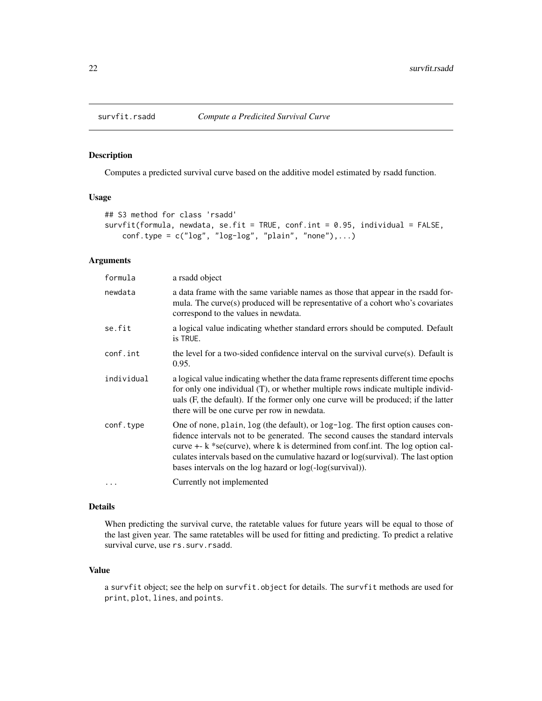<span id="page-21-0"></span>

# Description

Computes a predicted survival curve based on the additive model estimated by rsadd function.

#### Usage

```
## S3 method for class 'rsadd'
survfit(formula, newdata, se.fit = TRUE, conf.int = 0.95, individual = FALSE,
    conf.\text{type} = c("log", "log-log", "plain", "none"), \ldots)
```
# Arguments

| formula    | a rsadd object                                                                                                                                                                                                                                                                                                                                                                                                |
|------------|---------------------------------------------------------------------------------------------------------------------------------------------------------------------------------------------------------------------------------------------------------------------------------------------------------------------------------------------------------------------------------------------------------------|
| newdata    | a data frame with the same variable names as those that appear in the rsadd for-<br>mula. The curve(s) produced will be representative of a cohort who's covariates<br>correspond to the values in newdata.                                                                                                                                                                                                   |
| se.fit     | a logical value indicating whether standard errors should be computed. Default<br>is TRUE.                                                                                                                                                                                                                                                                                                                    |
| conf.int   | the level for a two-sided confidence interval on the survival curve $(s)$ . Default is<br>0.95.                                                                                                                                                                                                                                                                                                               |
| individual | a logical value indicating whether the data frame represents different time epochs<br>for only one individual (T), or whether multiple rows indicate multiple individ-<br>uals (F, the default). If the former only one curve will be produced; if the latter<br>there will be one curve per row in newdata.                                                                                                  |
| conf.type  | One of none, plain, log (the default), or log-log. The first option causes con-<br>fidence intervals not to be generated. The second causes the standard intervals<br>curve $+$ - $k$ *se(curve), where k is determined from conf.int. The log option cal-<br>culates intervals based on the cumulative hazard or log(survival). The last option<br>bases intervals on the log hazard or log(-log(survival)). |
| $\ddots$   | Currently not implemented                                                                                                                                                                                                                                                                                                                                                                                     |

#### Details

When predicting the survival curve, the ratetable values for future years will be equal to those of the last given year. The same ratetables will be used for fitting and predicting. To predict a relative survival curve, use rs.surv.rsadd.

#### Value

a survfit object; see the help on survfit.object for details. The survfit methods are used for print, plot, lines, and points.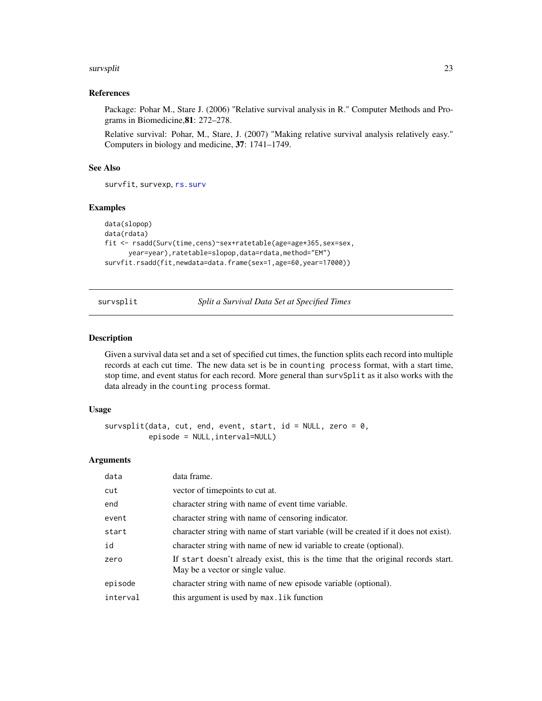#### <span id="page-22-0"></span>survsplit 23

# References

Package: Pohar M., Stare J. (2006) "Relative survival analysis in R." Computer Methods and Programs in Biomedicine,81: 272–278.

Relative survival: Pohar, M., Stare, J. (2007) "Making relative survival analysis relatively easy." Computers in biology and medicine, 37: 1741–1749.

#### See Also

survfit, survexp, [rs.surv](#page-10-1)

#### Examples

```
data(slopop)
data(rdata)
fit <- rsadd(Surv(time,cens)~sex+ratetable(age=age*365,sex=sex,
     year=year),ratetable=slopop,data=rdata,method="EM")
survfit.rsadd(fit,newdata=data.frame(sex=1,age=60,year=17000))
```
survsplit *Split a Survival Data Set at Specified Times*

#### Description

Given a survival data set and a set of specified cut times, the function splits each record into multiple records at each cut time. The new data set is be in counting process format, with a start time, stop time, and event status for each record. More general than survSplit as it also works with the data already in the counting process format.

#### Usage

```
survsplit(data, cut, end, event, start, id = NULL, zero = 0,
          episode = NULL,interval=NULL)
```
#### Arguments

| data     | data frame.                                                                                                           |
|----------|-----------------------------------------------------------------------------------------------------------------------|
| cut      | vector of timepoints to cut at.                                                                                       |
| end      | character string with name of event time variable.                                                                    |
| event    | character string with name of censoring indicator.                                                                    |
| start    | character string with name of start variable (will be created if it does not exist).                                  |
| id       | character string with name of new id variable to create (optional).                                                   |
| zero     | If start doesn't already exist, this is the time that the original records start.<br>May be a vector or single value. |
| episode  | character string with name of new episode variable (optional).                                                        |
| interval | this argument is used by max. lik function                                                                            |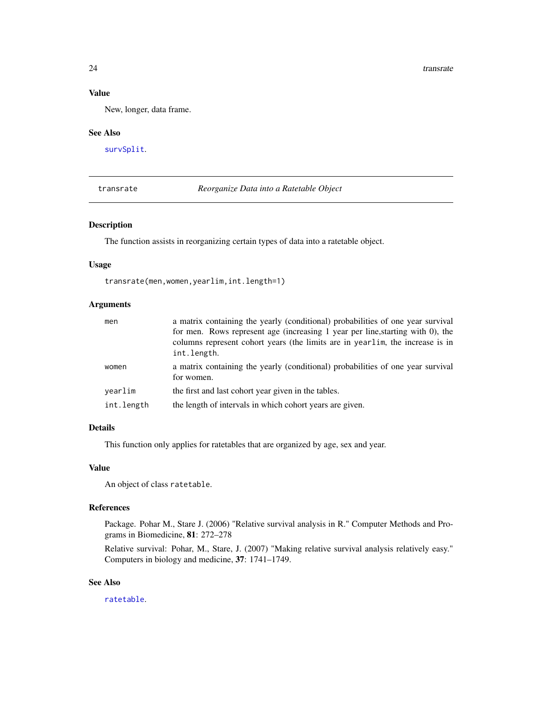#### <span id="page-23-0"></span>Value

New, longer, data frame.

#### See Also

[survSplit](#page-0-0).

<span id="page-23-1"></span>transrate *Reorganize Data into a Ratetable Object*

### Description

The function assists in reorganizing certain types of data into a ratetable object.

#### Usage

transrate(men,women,yearlim,int.length=1)

# Arguments

| men        | a matrix containing the yearly (conditional) probabilities of one year survival                                                                                                |
|------------|--------------------------------------------------------------------------------------------------------------------------------------------------------------------------------|
|            | for men. Rows represent age (increasing 1 year per line, starting with 0), the<br>columns represent cohort years (the limits are in yearlim, the increase is in<br>int.length. |
| women      | a matrix containing the yearly (conditional) probabilities of one year survival<br>for women.                                                                                  |
| vearlim    | the first and last cohort year given in the tables.                                                                                                                            |
| int.length | the length of intervals in which cohort years are given.                                                                                                                       |

## Details

This function only applies for ratetables that are organized by age, sex and year.

#### Value

An object of class ratetable.

#### References

Package. Pohar M., Stare J. (2006) "Relative survival analysis in R." Computer Methods and Programs in Biomedicine, 81: 272–278

Relative survival: Pohar, M., Stare, J. (2007) "Making relative survival analysis relatively easy." Computers in biology and medicine, 37: 1741–1749.

# See Also

[ratetable](#page-0-0).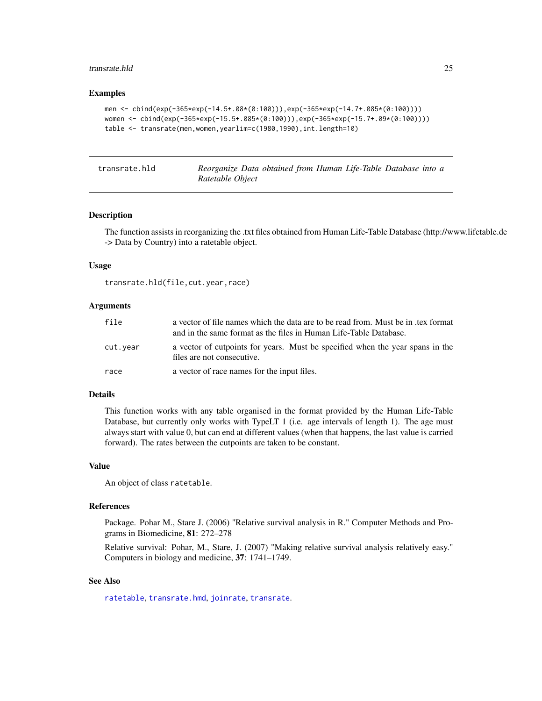#### <span id="page-24-0"></span>transrate.hld 25

#### Examples

```
men <- cbind(exp(-365*exp(-14.5+.08*(0:100))),exp(-365*exp(-14.7+.085*(0:100))))
women <- cbind(exp(-365*exp(-15.5+.085*(0:100))),exp(-365*exp(-15.7+.09*(0:100))))
table <- transrate(men,women,yearlim=c(1980,1990),int.length=10)
```
<span id="page-24-1"></span>

|  | transrate.hld |
|--|---------------|
|--|---------------|

Reorganize Data obtained from Human Life-Table Database into a *Ratetable Object*

#### Description

The function assists in reorganizing the .txt files obtained from Human Life-Table Database (http://www.lifetable.de -> Data by Country) into a ratetable object.

#### Usage

transrate.hld(file,cut.year,race)

#### Arguments

| file     | a vector of file names which the data are to be read from. Must be in tex format<br>and in the same format as the files in Human Life-Table Database. |  |  |
|----------|-------------------------------------------------------------------------------------------------------------------------------------------------------|--|--|
| cut.vear | a vector of cutpoints for years. Must be specified when the year spans in the<br>files are not consecutive.                                           |  |  |
| race     | a vector of race names for the input files.                                                                                                           |  |  |

#### Details

This function works with any table organised in the format provided by the Human Life-Table Database, but currently only works with TypeLT 1 (i.e. age intervals of length 1). The age must always start with value 0, but can end at different values (when that happens, the last value is carried forward). The rates between the cutpoints are taken to be constant.

#### Value

An object of class ratetable.

#### References

Package. Pohar M., Stare J. (2006) "Relative survival analysis in R." Computer Methods and Programs in Biomedicine, 81: 272–278

Relative survival: Pohar, M., Stare, J. (2007) "Making relative survival analysis relatively easy." Computers in biology and medicine, 37: 1741–1749.

#### See Also

[ratetable](#page-0-0), [transrate.hmd](#page-25-1), [joinrate](#page-5-1), [transrate](#page-23-1).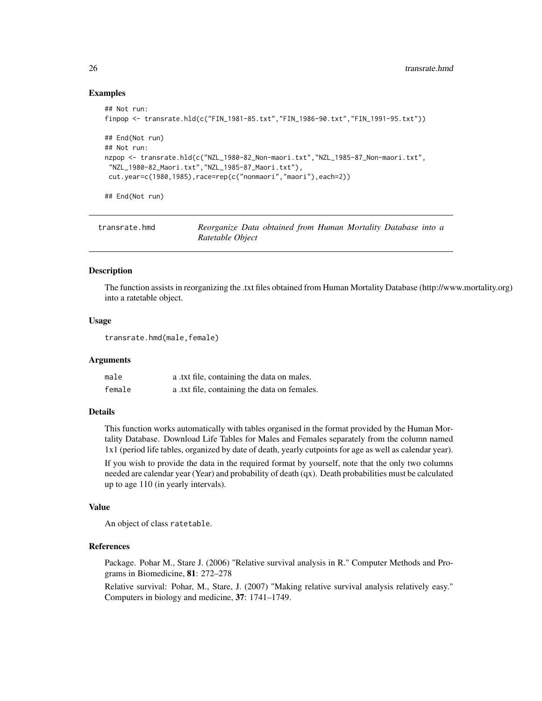#### Examples

```
## Not run:
finpop <- transrate.hld(c("FIN_1981-85.txt","FIN_1986-90.txt","FIN_1991-95.txt"))
## End(Not run)
## Not run:
nzpop <- transrate.hld(c("NZL_1980-82_Non-maori.txt","NZL_1985-87_Non-maori.txt",
"NZL_1980-82_Maori.txt","NZL_1985-87_Maori.txt"),
 cut.year=c(1980,1985),race=rep(c("nonmaori","maori"),each=2))
## End(Not run)
```
<span id="page-25-1"></span>

| transrate.hmd | Reorganize Data obtained from Human Mortality Database into a |  |  |  |
|---------------|---------------------------------------------------------------|--|--|--|
|               | Ratetable Object                                              |  |  |  |

#### Description

The function assists in reorganizing the .txt files obtained from Human Mortality Database (http://www.mortality.org) into a ratetable object.

#### Usage

transrate.hmd(male,female)

#### Arguments

| male   | a .txt file, containing the data on males.   |
|--------|----------------------------------------------|
| female | a .txt file, containing the data on females. |

#### Details

This function works automatically with tables organised in the format provided by the Human Mortality Database. Download Life Tables for Males and Females separately from the column named 1x1 (period life tables, organized by date of death, yearly cutpoints for age as well as calendar year).

If you wish to provide the data in the required format by yourself, note that the only two columns needed are calendar year (Year) and probability of death (qx). Death probabilities must be calculated up to age 110 (in yearly intervals).

#### Value

An object of class ratetable.

# References

Package. Pohar M., Stare J. (2006) "Relative survival analysis in R." Computer Methods and Programs in Biomedicine, 81: 272–278

Relative survival: Pohar, M., Stare, J. (2007) "Making relative survival analysis relatively easy." Computers in biology and medicine, 37: 1741–1749.

<span id="page-25-0"></span>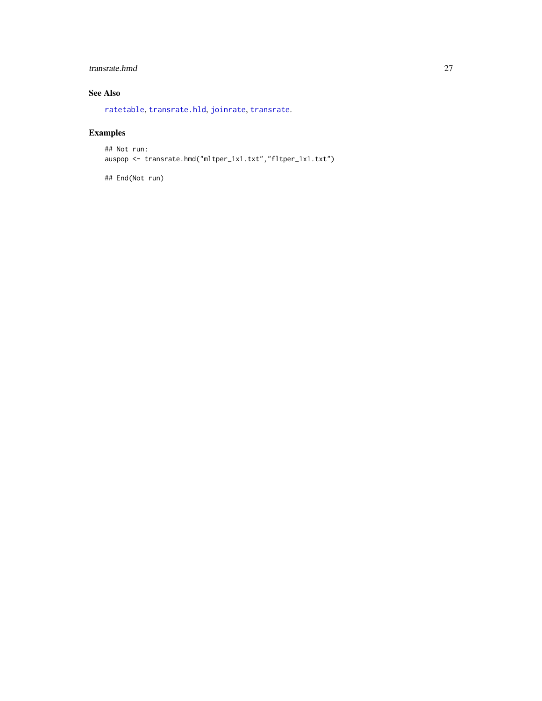# <span id="page-26-0"></span>transrate.hmd 27

# See Also

[ratetable](#page-0-0), [transrate.hld](#page-24-1), [joinrate](#page-5-1), [transrate](#page-23-1).

# Examples

```
## Not run:
auspop <- transrate.hmd("mltper_1x1.txt","fltper_1x1.txt")
```
## End(Not run)